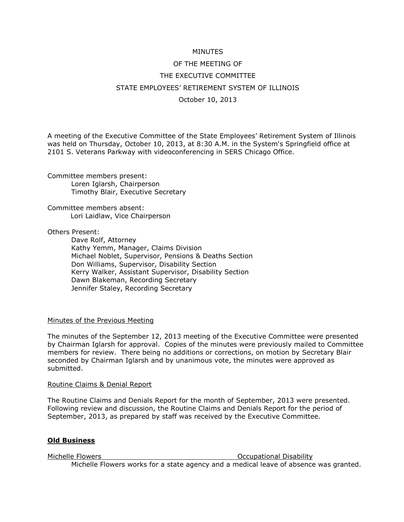## MINUTES

# OF THE MEETING OF THE EXECUTIVE COMMITTEE STATE EMPLOYEES' RETIREMENT SYSTEM OF ILLINOIS October 10, 2013

A meeting of the Executive Committee of the State Employees' Retirement System of Illinois was held on Thursday, October 10, 2013, at 8:30 A.M. in the System's Springfield office at 2101 S. Veterans Parkway with videoconferencing in SERS Chicago Office.

Committee members present: Loren Iglarsh, Chairperson Timothy Blair, Executive Secretary

Committee members absent: Lori Laidlaw, Vice Chairperson

Others Present:

Dave Rolf, Attorney Kathy Yemm, Manager, Claims Division Michael Noblet, Supervisor, Pensions & Deaths Section Don Williams, Supervisor, Disability Section Kerry Walker, Assistant Supervisor, Disability Section Dawn Blakeman, Recording Secretary Jennifer Staley, Recording Secretary

## Minutes of the Previous Meeting

The minutes of the September 12, 2013 meeting of the Executive Committee were presented by Chairman Iglarsh for approval. Copies of the minutes were previously mailed to Committee members for review. There being no additions or corrections, on motion by Secretary Blair seconded by Chairman Iglarsh and by unanimous vote, the minutes were approved as submitted.

## Routine Claims & Denial Report

The Routine Claims and Denials Report for the month of September, 2013 were presented. Following review and discussion, the Routine Claims and Denials Report for the period of September, 2013, as prepared by staff was received by the Executive Committee.

## **Old Business**

Michelle Flowers **Michelle Flowers Michelle Flowers Occupational Disability** Michelle Flowers works for a state agency and a medical leave of absence was granted.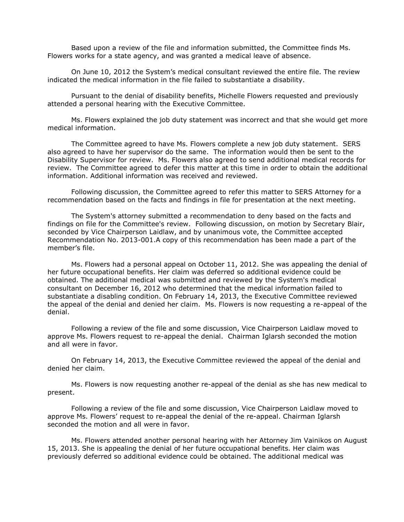Based upon a review of the file and information submitted, the Committee finds Ms. Flowers works for a state agency, and was granted a medical leave of absence.

On June 10, 2012 the System's medical consultant reviewed the entire file. The review indicated the medical information in the file failed to substantiate a disability.

Pursuant to the denial of disability benefits, Michelle Flowers requested and previously attended a personal hearing with the Executive Committee.

Ms. Flowers explained the job duty statement was incorrect and that she would get more medical information.

The Committee agreed to have Ms. Flowers complete a new job duty statement. SERS also agreed to have her supervisor do the same. The information would then be sent to the Disability Supervisor for review. Ms. Flowers also agreed to send additional medical records for review. The Committee agreed to defer this matter at this time in order to obtain the additional information. Additional information was received and reviewed.

Following discussion, the Committee agreed to refer this matter to SERS Attorney for a recommendation based on the facts and findings in file for presentation at the next meeting.

The System's attorney submitted a recommendation to deny based on the facts and findings on file for the Committee's review. Following discussion, on motion by Secretary Blair, seconded by Vice Chairperson Laidlaw, and by unanimous vote, the Committee accepted Recommendation No. 2013-001.A copy of this recommendation has been made a part of the member's file.

Ms. Flowers had a personal appeal on October 11, 2012. She was appealing the denial of her future occupational benefits. Her claim was deferred so additional evidence could be obtained. The additional medical was submitted and reviewed by the System's medical consultant on December 16, 2012 who determined that the medical information failed to substantiate a disabling condition. On February 14, 2013, the Executive Committee reviewed the appeal of the denial and denied her claim. Ms. Flowers is now requesting a re-appeal of the denial.

Following a review of the file and some discussion, Vice Chairperson Laidlaw moved to approve Ms. Flowers request to re-appeal the denial. Chairman Iglarsh seconded the motion and all were in favor.

On February 14, 2013, the Executive Committee reviewed the appeal of the denial and denied her claim.

 Ms. Flowers is now requesting another re-appeal of the denial as she has new medical to present.

Following a review of the file and some discussion, Vice Chairperson Laidlaw moved to approve Ms. Flowers' request to re-appeal the denial of the re-appeal. Chairman Iglarsh seconded the motion and all were in favor.

Ms. Flowers attended another personal hearing with her Attorney Jim Vainikos on August 15, 2013. She is appealing the denial of her future occupational benefits. Her claim was previously deferred so additional evidence could be obtained. The additional medical was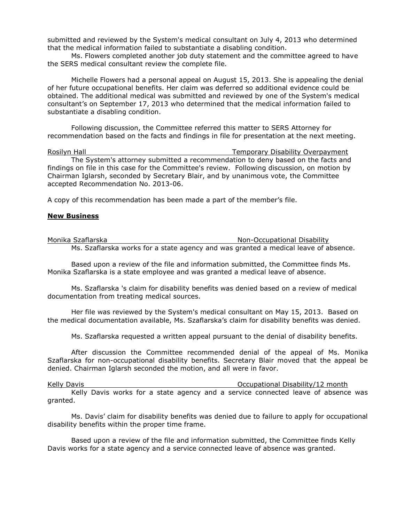submitted and reviewed by the System's medical consultant on July 4, 2013 who determined that the medical information failed to substantiate a disabling condition.

Ms. Flowers completed another job duty statement and the committee agreed to have the SERS medical consultant review the complete file.

 Michelle Flowers had a personal appeal on August 15, 2013. She is appealing the denial of her future occupational benefits. Her claim was deferred so additional evidence could be obtained. The additional medical was submitted and reviewed by one of the System's medical consultant's on September 17, 2013 who determined that the medical information failed to substantiate a disabling condition.

Following discussion, the Committee referred this matter to SERS Attorney for recommendation based on the facts and findings in file for presentation at the next meeting.

Rosilyn Hall Temporary Disability Overpayment The System's attorney submitted a recommendation to deny based on the facts and findings on file in this case for the Committee's review. Following discussion, on motion by Chairman Iglarsh, seconded by Secretary Blair, and by unanimous vote, the Committee accepted Recommendation No. 2013-06.

A copy of this recommendation has been made a part of the member's file.

#### **New Business**

Monika Szaflarska Non-Occupational Disability Ms. Szaflarska works for a state agency and was granted a medical leave of absence.

Based upon a review of the file and information submitted, the Committee finds Ms. Monika Szaflarska is a state employee and was granted a medical leave of absence.

Ms. Szaflarska 's claim for disability benefits was denied based on a review of medical documentation from treating medical sources.

Her file was reviewed by the System's medical consultant on May 15, 2013. Based on the medical documentation available, Ms. Szaflarska's claim for disability benefits was denied.

Ms. Szaflarska requested a written appeal pursuant to the denial of disability benefits.

After discussion the Committee recommended denial of the appeal of Ms. Monika Szaflarska for non-occupational disability benefits. Secretary Blair moved that the appeal be denied. Chairman Iglarsh seconded the motion, and all were in favor.

Kelly Davis **Communist Communist Communist Communist Communist Communist Communist Communist Communist Communist Communist Communist Communist Communist Communist Communist Communist Communist Communist Communist Communist** Kelly Davis works for a state agency and a service connected leave of absence was granted.

Ms. Davis' claim for disability benefits was denied due to failure to apply for occupational disability benefits within the proper time frame.

Based upon a review of the file and information submitted, the Committee finds Kelly Davis works for a state agency and a service connected leave of absence was granted.